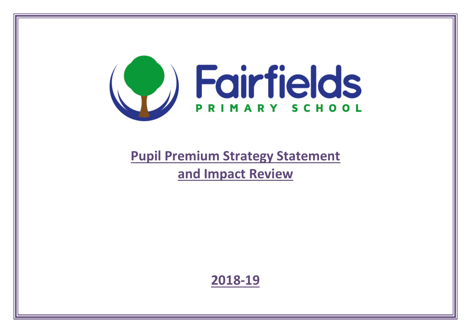

# **Pupil Premium Strategy Statement and Impact Review**

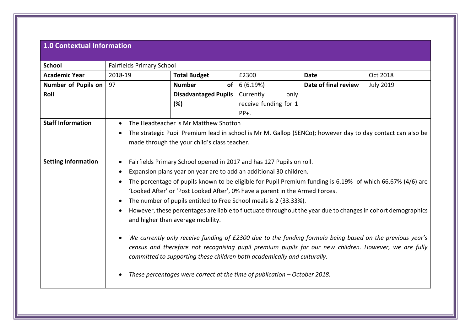## **1.0 Contextual Information**

| 2018-19   | <b>Total Budget</b> | £2300                                                                 | Date                                                                                                                                    | Oct 2018                                                                                                                                                                                                                                                                                                                                                                                                                                                                                                                                                                                                                                                                                                                                                                                                                                                                                                                                                                                                                     |  |
|-----------|---------------------|-----------------------------------------------------------------------|-----------------------------------------------------------------------------------------------------------------------------------------|------------------------------------------------------------------------------------------------------------------------------------------------------------------------------------------------------------------------------------------------------------------------------------------------------------------------------------------------------------------------------------------------------------------------------------------------------------------------------------------------------------------------------------------------------------------------------------------------------------------------------------------------------------------------------------------------------------------------------------------------------------------------------------------------------------------------------------------------------------------------------------------------------------------------------------------------------------------------------------------------------------------------------|--|
| 97        | <b>Number</b>       | 6(6.19%)                                                              | Date of final review                                                                                                                    | <b>July 2019</b>                                                                                                                                                                                                                                                                                                                                                                                                                                                                                                                                                                                                                                                                                                                                                                                                                                                                                                                                                                                                             |  |
|           |                     | Currently<br>only                                                     |                                                                                                                                         |                                                                                                                                                                                                                                                                                                                                                                                                                                                                                                                                                                                                                                                                                                                                                                                                                                                                                                                                                                                                                              |  |
|           | (%)                 | receive funding for 1                                                 |                                                                                                                                         |                                                                                                                                                                                                                                                                                                                                                                                                                                                                                                                                                                                                                                                                                                                                                                                                                                                                                                                                                                                                                              |  |
|           |                     | $PP+$ .                                                               |                                                                                                                                         |                                                                                                                                                                                                                                                                                                                                                                                                                                                                                                                                                                                                                                                                                                                                                                                                                                                                                                                                                                                                                              |  |
| $\bullet$ |                     |                                                                       |                                                                                                                                         |                                                                                                                                                                                                                                                                                                                                                                                                                                                                                                                                                                                                                                                                                                                                                                                                                                                                                                                                                                                                                              |  |
| $\bullet$ |                     |                                                                       |                                                                                                                                         |                                                                                                                                                                                                                                                                                                                                                                                                                                                                                                                                                                                                                                                                                                                                                                                                                                                                                                                                                                                                                              |  |
|           |                     |                                                                       |                                                                                                                                         |                                                                                                                                                                                                                                                                                                                                                                                                                                                                                                                                                                                                                                                                                                                                                                                                                                                                                                                                                                                                                              |  |
|           |                     |                                                                       |                                                                                                                                         |                                                                                                                                                                                                                                                                                                                                                                                                                                                                                                                                                                                                                                                                                                                                                                                                                                                                                                                                                                                                                              |  |
| $\bullet$ |                     |                                                                       |                                                                                                                                         |                                                                                                                                                                                                                                                                                                                                                                                                                                                                                                                                                                                                                                                                                                                                                                                                                                                                                                                                                                                                                              |  |
|           |                     |                                                                       |                                                                                                                                         |                                                                                                                                                                                                                                                                                                                                                                                                                                                                                                                                                                                                                                                                                                                                                                                                                                                                                                                                                                                                                              |  |
|           |                     |                                                                       |                                                                                                                                         |                                                                                                                                                                                                                                                                                                                                                                                                                                                                                                                                                                                                                                                                                                                                                                                                                                                                                                                                                                                                                              |  |
|           |                     |                                                                       |                                                                                                                                         |                                                                                                                                                                                                                                                                                                                                                                                                                                                                                                                                                                                                                                                                                                                                                                                                                                                                                                                                                                                                                              |  |
| $\bullet$ |                     |                                                                       |                                                                                                                                         |                                                                                                                                                                                                                                                                                                                                                                                                                                                                                                                                                                                                                                                                                                                                                                                                                                                                                                                                                                                                                              |  |
| $\bullet$ |                     |                                                                       |                                                                                                                                         |                                                                                                                                                                                                                                                                                                                                                                                                                                                                                                                                                                                                                                                                                                                                                                                                                                                                                                                                                                                                                              |  |
|           |                     |                                                                       |                                                                                                                                         |                                                                                                                                                                                                                                                                                                                                                                                                                                                                                                                                                                                                                                                                                                                                                                                                                                                                                                                                                                                                                              |  |
|           |                     |                                                                       |                                                                                                                                         |                                                                                                                                                                                                                                                                                                                                                                                                                                                                                                                                                                                                                                                                                                                                                                                                                                                                                                                                                                                                                              |  |
| $\bullet$ |                     |                                                                       |                                                                                                                                         |                                                                                                                                                                                                                                                                                                                                                                                                                                                                                                                                                                                                                                                                                                                                                                                                                                                                                                                                                                                                                              |  |
|           |                     |                                                                       |                                                                                                                                         |                                                                                                                                                                                                                                                                                                                                                                                                                                                                                                                                                                                                                                                                                                                                                                                                                                                                                                                                                                                                                              |  |
|           |                     |                                                                       |                                                                                                                                         |                                                                                                                                                                                                                                                                                                                                                                                                                                                                                                                                                                                                                                                                                                                                                                                                                                                                                                                                                                                                                              |  |
|           |                     |                                                                       |                                                                                                                                         |                                                                                                                                                                                                                                                                                                                                                                                                                                                                                                                                                                                                                                                                                                                                                                                                                                                                                                                                                                                                                              |  |
|           |                     |                                                                       |                                                                                                                                         |                                                                                                                                                                                                                                                                                                                                                                                                                                                                                                                                                                                                                                                                                                                                                                                                                                                                                                                                                                                                                              |  |
|           |                     |                                                                       |                                                                                                                                         |                                                                                                                                                                                                                                                                                                                                                                                                                                                                                                                                                                                                                                                                                                                                                                                                                                                                                                                                                                                                                              |  |
|           | $\bullet$           | <b>Fairfields Primary School</b><br>and higher than average mobility. | of <sub>1</sub><br><b>Disadvantaged Pupils</b><br>The Headteacher is Mr Matthew Shotton<br>made through the your child's class teacher. | The strategic Pupil Premium lead in school is Mr M. Gallop (SENCo); however day to day contact can also be<br>Fairfields Primary School opened in 2017 and has 127 Pupils on roll.<br>Expansion plans year on year are to add an additional 30 children.<br>The percentage of pupils known to be eligible for Pupil Premium funding is 6.19%- of which 66.67% (4/6) are<br>'Looked After' or 'Post Looked After', 0% have a parent in the Armed Forces.<br>The number of pupils entitled to Free School meals is 2 (33.33%).<br>However, these percentages are liable to fluctuate throughout the year due to changes in cohort demographics<br>We currently only receive funding of £2300 due to the funding formula being based on the previous year's<br>census and therefore not recognising pupil premium pupils for our new children. However, we are fully<br>committed to supporting these children both academically and culturally.<br>These percentages were correct at the time of publication $-$ October 2018. |  |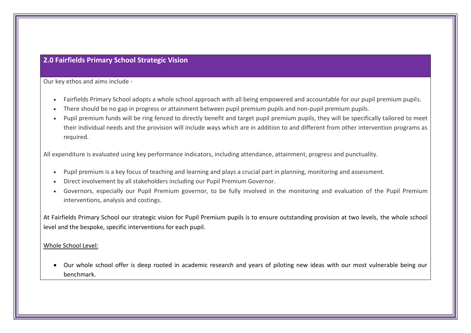## **2.0 Fairfields Primary School Strategic Vision**

Our key ethos and aims include -

- Fairfields Primary School adopts a whole school approach with all being empowered and accountable for our pupil premium pupils.
- There should be no gap in progress or attainment between pupil premium pupils and non-pupil premium pupils.
- Pupil premium funds will be ring fenced to directly benefit and target pupil premium pupils, they will be specifically tailored to meet their individual needs and the provision will include ways which are in addition to and different from other intervention programs as required.

All expenditure is evaluated using key performance indicators, including attendance, attainment, progress and punctuality.

- Pupil premium is a key focus of teaching and learning and plays a crucial part in planning, monitoring and assessment.
- Direct involvement by all stakeholders including our Pupil Premium Governor.
- Governors, especially our Pupil Premium governor, to be fully involved in the monitoring and evaluation of the Pupil Premium interventions, analysis and costings.

At Fairfields Primary School our strategic vision for Pupil Premium pupils is to ensure outstanding provision at two levels, the whole school level and the bespoke, specific interventions for each pupil.

#### Whole School Level:

• Our whole school offer is deep rooted in academic research and years of piloting new ideas with our most vulnerable being our benchmark.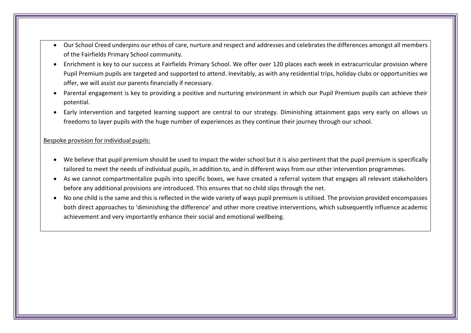- Our School Creed underpins our ethos of care, nurture and respect and addresses and celebrates the differences amongst all members of the Fairfields Primary School community.
- Enrichment is key to our success at Fairfields Primary School. We offer over 120 places each week in extracurricular provision where Pupil Premium pupils are targeted and supported to attend. Inevitably, as with any residential trips, holiday clubs or opportunities we offer, we will assist our parents financially if necessary.
- Parental engagement is key to providing a positive and nurturing environment in which our Pupil Premium pupils can achieve their potential.
- Early intervention and targeted learning support are central to our strategy. Diminishing attainment gaps very early on allows us freedoms to layer pupils with the huge number of experiences as they continue their journey through our school.

### Bespoke provision for individual pupils:

- We believe that pupil premium should be used to impact the wider school but it is also pertinent that the pupil premium is specifically tailored to meet the needs of individual pupils, in addition to, and in different ways from our other intervention programmes.
- As we cannot compartmentalize pupils into specific boxes, we have created a referral system that engages all relevant stakeholders before any additional provisions are introduced. This ensures that no child slips through the net.
- No one child is the same and this is reflected in the wide variety of ways pupil premium is utilised. The provision provided encompasses both direct approaches to 'diminishing the difference' and other more creative interventions, which subsequently influence academic achievement and very importantly enhance their social and emotional wellbeing.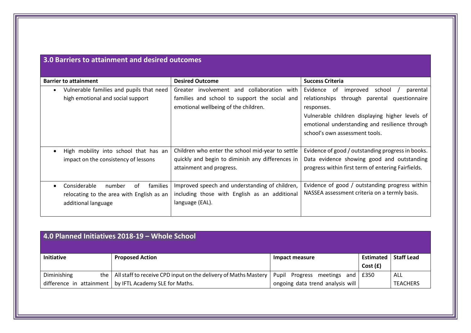| <b>Barrier to attainment</b>                                                                                 | <b>Desired Outcome</b>                                                                                                                 | <b>Success Criteria</b>                                                                                                                                                                                                |
|--------------------------------------------------------------------------------------------------------------|----------------------------------------------------------------------------------------------------------------------------------------|------------------------------------------------------------------------------------------------------------------------------------------------------------------------------------------------------------------------|
| Vulnerable families and pupils that need<br>high emotional and social support                                | involvement and collaboration with<br>Greater<br>families and school to support the social and<br>emotional wellbeing of the children. | school<br>Evidence<br>parental<br>0f<br>improved<br>relationships through parental<br>questionnaire<br>responses.<br>Vulnerable children displaying higher levels of<br>emotional understanding and resilience through |
|                                                                                                              |                                                                                                                                        | school's own assessment tools.                                                                                                                                                                                         |
| High mobility into school that has an<br>impact on the consistency of lessons                                | Children who enter the school mid-year to settle<br>quickly and begin to diminish any differences in<br>attainment and progress.       | Evidence of good / outstanding progress in books.<br>Data evidence showing good and outstanding<br>progress within first term of entering Fairfields.                                                                  |
| Considerable<br>number<br>of<br>families<br>relocating to the area with English as an<br>additional language | Improved speech and understanding of children,<br>including those with English as an additional<br>language (EAL).                     | Evidence of good / outstanding progress within<br>NASSEA assessment criteria on a termly basis.                                                                                                                        |

| 4.0 Planned Initiatives 2018-19 - Whole School |                                                                 |                                  |                      |                   |  |
|------------------------------------------------|-----------------------------------------------------------------|----------------------------------|----------------------|-------------------|--|
| <b>Initiative</b>                              | <b>Proposed Action</b>                                          | Impact measure                   | Estimated<br>Cost(f) | <b>Staff Lead</b> |  |
| Diminishing<br>the                             | All staff to receive CPD input on the delivery of Maths Mastery | Pupil Progress meetings and      | E350                 | ALL               |  |
|                                                | difference in attainment $\vert$ by IFTL Academy SLE for Maths. | ongoing data trend analysis will |                      | <b>TEACHERS</b>   |  |

## **3.0 Barriers to attainment and desired outcomes**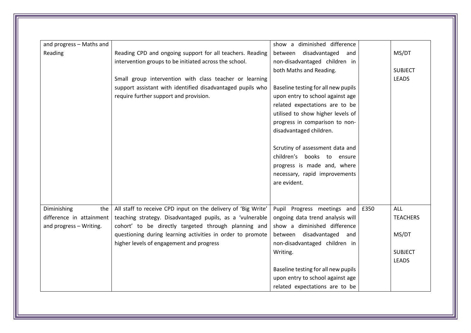| and progress - Maths and |                                                               | show a diminished difference        |      |                 |
|--------------------------|---------------------------------------------------------------|-------------------------------------|------|-----------------|
| Reading                  | Reading CPD and ongoing support for all teachers. Reading     | between<br>disadvantaged and        |      | MS/DT           |
|                          | intervention groups to be initiated across the school.        | non-disadvantaged children in       |      |                 |
|                          |                                                               | both Maths and Reading.             |      | <b>SUBJECT</b>  |
|                          | Small group intervention with class teacher or learning       |                                     |      | <b>LEADS</b>    |
|                          | support assistant with identified disadvantaged pupils who    | Baseline testing for all new pupils |      |                 |
|                          | require further support and provision.                        | upon entry to school against age    |      |                 |
|                          |                                                               | related expectations are to be      |      |                 |
|                          |                                                               | utilised to show higher levels of   |      |                 |
|                          |                                                               | progress in comparison to non-      |      |                 |
|                          |                                                               | disadvantaged children.             |      |                 |
|                          |                                                               | Scrutiny of assessment data and     |      |                 |
|                          |                                                               | children's books to ensure          |      |                 |
|                          |                                                               | progress is made and, where         |      |                 |
|                          |                                                               | necessary, rapid improvements       |      |                 |
|                          |                                                               | are evident.                        |      |                 |
|                          |                                                               |                                     |      |                 |
|                          |                                                               |                                     |      |                 |
| Diminishing<br>the       | All staff to receive CPD input on the delivery of 'Big Write' | Pupil Progress meetings and         | £350 | <b>ALL</b>      |
| difference in attainment | teaching strategy. Disadvantaged pupils, as a 'vulnerable     | ongoing data trend analysis will    |      | <b>TEACHERS</b> |
| and progress - Writing.  | cohort' to be directly targeted through planning and          | show a diminished difference        |      |                 |
|                          | questioning during learning activities in order to promote    | between disadvantaged and           |      | MS/DT           |
|                          | higher levels of engagement and progress                      | non-disadvantaged children in       |      |                 |
|                          |                                                               | Writing.                            |      | <b>SUBJECT</b>  |
|                          |                                                               |                                     |      | <b>LEADS</b>    |
|                          |                                                               | Baseline testing for all new pupils |      |                 |
|                          |                                                               | upon entry to school against age    |      |                 |
|                          |                                                               | related expectations are to be      |      |                 |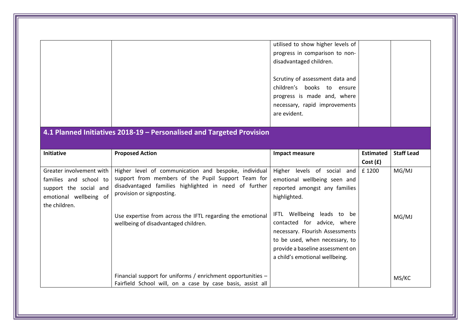|                                                                                                                         |                                                                                                                                                                                                                                                                                                         | utilised to show higher levels of<br>progress in comparison to non-<br>disadvantaged children.<br>Scrutiny of assessment data and<br>children's books to ensure<br>progress is made and, where<br>necessary, rapid improvements<br>are evident.                                                                         |                             |                   |
|-------------------------------------------------------------------------------------------------------------------------|---------------------------------------------------------------------------------------------------------------------------------------------------------------------------------------------------------------------------------------------------------------------------------------------------------|-------------------------------------------------------------------------------------------------------------------------------------------------------------------------------------------------------------------------------------------------------------------------------------------------------------------------|-----------------------------|-------------------|
| <b>Initiative</b>                                                                                                       | 4.1 Planned Initiatives 2018-19 - Personalised and Targeted Provision<br><b>Proposed Action</b>                                                                                                                                                                                                         | <b>Impact measure</b>                                                                                                                                                                                                                                                                                                   | <b>Estimated</b><br>Cost(f) | <b>Staff Lead</b> |
| Greater involvement with<br>families and school to<br>support the social and<br>emotional wellbeing of<br>the children. | Higher level of communication and bespoke, individual<br>support from members of the Pupil Support Team for<br>disadvantaged families highlighted in need of further<br>provision or signposting.<br>Use expertise from across the IFTL regarding the emotional<br>wellbeing of disadvantaged children. | levels of social and<br>Higher<br>emotional wellbeing seen and<br>reported amongst any families<br>highlighted.<br>IFTL Wellbeing leads to be<br>contacted for advice, where<br>necessary. Flourish Assessments<br>to be used, when necessary, to<br>provide a baseline assessment on<br>a child's emotional wellbeing. | £1200                       | MG/MJ<br>MG/MJ    |
|                                                                                                                         | Financial support for uniforms / enrichment opportunities -<br>Fairfield School will, on a case by case basis, assist all                                                                                                                                                                               |                                                                                                                                                                                                                                                                                                                         |                             | MS/KC             |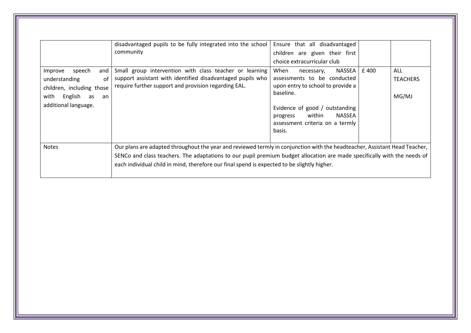|                                                                                                                                     | disadvantaged pupils to be fully integrated into the school<br>community                                                                                                                                                                                                                                                                              | Ensure that all disadvantaged<br>children are given their first<br>choice extracurricular club                                                                                                                                 |      |                                 |
|-------------------------------------------------------------------------------------------------------------------------------------|-------------------------------------------------------------------------------------------------------------------------------------------------------------------------------------------------------------------------------------------------------------------------------------------------------------------------------------------------------|--------------------------------------------------------------------------------------------------------------------------------------------------------------------------------------------------------------------------------|------|---------------------------------|
| speech<br>Improve<br>and<br>understanding<br>οf<br>children, including those<br>English<br>with<br>as<br>an<br>additional language. | Small group intervention with class teacher or learning<br>support assistant with identified disadvantaged pupils who<br>require further support and provision regarding EAL.                                                                                                                                                                         | NASSEA  <br>When<br>necessary,<br>assessments to be conducted<br>upon entry to school to provide a<br>baseline.<br>Evidence of good / outstanding<br>NASSEA<br>within<br>progress<br>assessment criteria on a termly<br>basis. | £400 | ALL<br><b>TEACHERS</b><br>MG/MJ |
| <b>Notes</b>                                                                                                                        | Our plans are adapted throughout the year and reviewed termly in conjunction with the headteacher, Assistant Head Teacher,<br>SENCo and class teachers. The adaptations to our pupil premium budget allocation are made specifically with the needs of<br>each individual child in mind, therefore our final spend is expected to be slightly higher. |                                                                                                                                                                                                                                |      |                                 |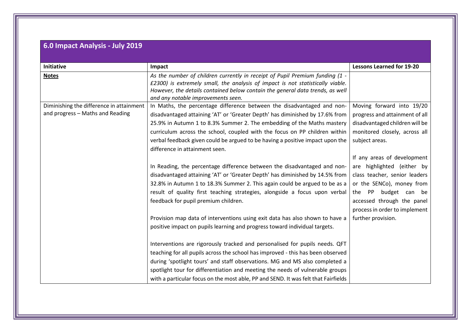# **6.0 Impact Analysis - July 2019**

| <b>Initiative</b>                        | Impact                                                                             | <b>Lessons Learned for 19-20</b> |
|------------------------------------------|------------------------------------------------------------------------------------|----------------------------------|
| <b>Notes</b>                             | As the number of children currently in receipt of Pupil Premium funding (1 -       |                                  |
|                                          | £2300) is extremely small, the analysis of impact is not statistically viable.     |                                  |
|                                          | However, the details contained below contain the general data trends, as well      |                                  |
|                                          | and any notable improvements seen.                                                 |                                  |
| Diminishing the difference in attainment | In Maths, the percentage difference between the disadvantaged and non-             | Moving forward into 19/20        |
| and progress - Maths and Reading         | disadvantaged attaining 'AT' or 'Greater Depth' has diminished by 17.6% from       | progress and attainment of all   |
|                                          | 25.9% in Autumn 1 to 8.3% Summer 2. The embedding of the Maths mastery             | disadvantaged children will be   |
|                                          | curriculum across the school, coupled with the focus on PP children within         | monitored closely, across all    |
|                                          | verbal feedback given could be argued to be having a positive impact upon the      | subject areas.                   |
|                                          | difference in attainment seen.                                                     |                                  |
|                                          |                                                                                    | If any areas of development      |
|                                          | In Reading, the percentage difference between the disadvantaged and non-           | are highlighted (either by       |
|                                          | disadvantaged attaining 'AT' or 'Greater Depth' has diminished by 14.5% from       | class teacher, senior leaders    |
|                                          | 32.8% in Autumn 1 to 18.3% Summer 2. This again could be argued to be as a         | or the SENCo), money from        |
|                                          | result of quality first teaching strategies, alongside a focus upon verbal         | budget can<br>the<br>PP<br>be    |
|                                          | feedback for pupil premium children.                                               | accessed through the panel       |
|                                          |                                                                                    | process in order to implement    |
|                                          | Provision map data of interventions using exit data has also shown to have a       | further provision.               |
|                                          | positive impact on pupils learning and progress toward individual targets.         |                                  |
|                                          |                                                                                    |                                  |
|                                          | Interventions are rigorously tracked and personalised for pupils needs. QFT        |                                  |
|                                          | teaching for all pupils across the school has improved - this has been observed    |                                  |
|                                          |                                                                                    |                                  |
|                                          | during 'spotlight tours' and staff observations. MG and MS also completed a        |                                  |
|                                          | spotlight tour for differentiation and meeting the needs of vulnerable groups      |                                  |
|                                          | with a particular focus on the most able, PP and SEND. It was felt that Fairfields |                                  |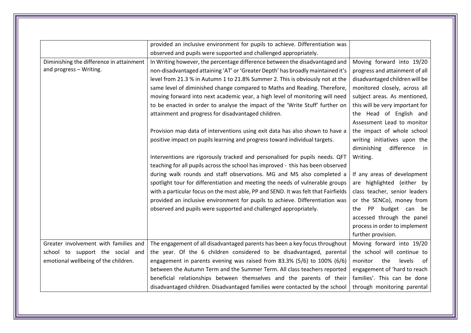|                                          | provided an inclusive environment for pupils to achieve. Differentiation was       |                                 |
|------------------------------------------|------------------------------------------------------------------------------------|---------------------------------|
|                                          | observed and pupils were supported and challenged appropriately.                   |                                 |
| Diminishing the difference in attainment | In Writing however, the percentage difference between the disadvantaged and        | Moving forward into 19/20       |
| and progress - Writing.                  | non-disadvantaged attaining 'AT' or 'Greater Depth' has broadly maintained it's    | progress and attainment of all  |
|                                          | level from 21.3 % in Autumn 1 to 21.8% Summer 2. This is obviously not at the      | disadvantaged children will be  |
|                                          | same level of diminished change compared to Maths and Reading. Therefore,          | monitored closely, across all   |
|                                          | moving forward into next academic year, a high level of monitoring will need       | subject areas. As mentioned,    |
|                                          | to be enacted in order to analyse the impact of the 'Write Stuff' further on       | this will be very important for |
|                                          | attainment and progress for disadvantaged children.                                | the Head of English and         |
|                                          |                                                                                    | Assessment Lead to monitor      |
|                                          | Provision map data of interventions using exit data has also shown to have a       | the impact of whole school      |
|                                          | positive impact on pupils learning and progress toward individual targets.         | writing initiatives upon the    |
|                                          |                                                                                    | difference<br>diminishing<br>in |
|                                          | Interventions are rigorously tracked and personalised for pupils needs. QFT        | Writing.                        |
|                                          | teaching for all pupils across the school has improved - this has been observed    |                                 |
|                                          | during walk rounds and staff observations. MG and MS also completed a              | If any areas of development     |
|                                          | spotlight tour for differentiation and meeting the needs of vulnerable groups      | are highlighted (either by      |
|                                          | with a particular focus on the most able, PP and SEND. It was felt that Fairfields | class teacher, senior leaders   |
|                                          | provided an inclusive environment for pupils to achieve. Differentiation was       | or the SENCo), money from       |
|                                          | observed and pupils were supported and challenged appropriately.                   | budget can be<br>the PP         |
|                                          |                                                                                    | accessed through the panel      |
|                                          |                                                                                    | process in order to implement   |
|                                          |                                                                                    | further provision.              |
| Greater involvement with families and    | The engagement of all disadvantaged parents has been a key focus throughout        | Moving forward into 19/20       |
| school to support the social and         | the year. Of the 6 children considered to be disadvantaged, parental               | the school will continue to     |
| emotional wellbeing of the children.     | engagement in parents evening was raised from 83.3% (5/6) to 100% (6/6)            | the<br>monitor<br>levels<br>0f  |
|                                          | between the Autumn Term and the Summer Term. All class teachers reported           | engagement of 'hard to reach    |
|                                          | beneficial relationships between themselves and the parents of their               | families'. This can be done     |
|                                          | disadvantaged children. Disadvantaged families were contacted by the school        | through monitoring parental     |
|                                          |                                                                                    |                                 |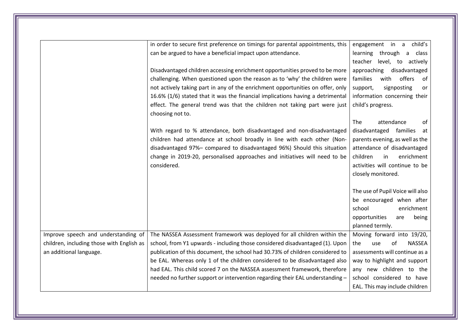|                                           | in order to secure first preference on timings for parental appointments, this                | child's<br>engagement in a        |
|-------------------------------------------|-----------------------------------------------------------------------------------------------|-----------------------------------|
|                                           | can be argued to have a beneficial impact upon attendance.                                    | learning through a class          |
|                                           |                                                                                               | teacher<br>level, to actively     |
|                                           | Disadvantaged children accessing enrichment opportunities proved to be more                   | approaching<br>disadvantaged      |
|                                           | challenging. When questioned upon the reason as to 'why' the children were                    | families<br>offers<br>with<br>0f  |
|                                           | not actively taking part in any of the enrichment opportunities on offer, only                | support,<br>signposting<br>or     |
|                                           | 16.6% (1/6) stated that it was the financial implications having a detrimental                | information concerning their      |
|                                           | effect. The general trend was that the children not taking part were just<br>choosing not to. | child's progress.                 |
|                                           |                                                                                               | The<br>attendance<br>of           |
|                                           | With regard to % attendance, both disadvantaged and non-disadvantaged                         | disadvantaged families<br>at      |
|                                           | children had attendance at school broadly in line with each other (Non-                       | parents evening, as well as the   |
|                                           | disadvantaged 97%- compared to disadvantaged 96%) Should this situation                       | attendance of disadvantaged       |
|                                           | change in 2019-20, personalised approaches and initiatives will need to be                    | children<br>in<br>enrichment      |
|                                           | considered.                                                                                   | activities will continue to be    |
|                                           |                                                                                               | closely monitored.                |
|                                           |                                                                                               |                                   |
|                                           |                                                                                               | The use of Pupil Voice will also  |
|                                           |                                                                                               | be encouraged when after          |
|                                           |                                                                                               | school<br>enrichment              |
|                                           |                                                                                               | opportunities<br>being<br>are     |
|                                           |                                                                                               | planned termly.                   |
| Improve speech and understanding of       | The NASSEA Assessment framework was deployed for all children within the                      | Moving forward into 19/20,        |
| children, including those with English as | school, from Y1 upwards - including those considered disadvantaged (1). Upon                  | <b>NASSEA</b><br>the<br>of<br>use |
| an additional language.                   | publication of this document, the school had 30.73% of children considered to                 | assessments will continue as a    |
|                                           | be EAL. Whereas only 1 of the children considered to be disadvantaged also                    | way to highlight and support      |
|                                           | had EAL. This child scored 7 on the NASSEA assessment framework, therefore                    | any new children to the           |
|                                           | needed no further support or intervention regarding their EAL understanding -                 | school considered to have         |
|                                           |                                                                                               | EAL. This may include children    |
|                                           |                                                                                               |                                   |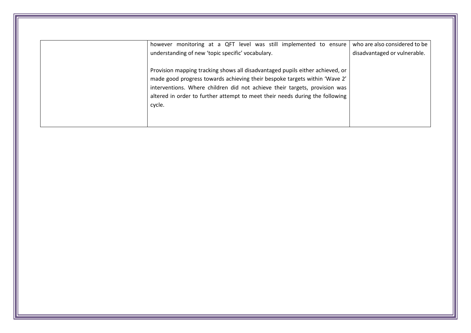| however monitoring at a QFT level was still implemented to ensure                      | who are also considered to be                                                                                                   |
|----------------------------------------------------------------------------------------|---------------------------------------------------------------------------------------------------------------------------------|
|                                                                                        | disadvantaged or vulnerable.                                                                                                    |
| Provision mapping tracking shows all disadvantaged pupils either achieved, or          |                                                                                                                                 |
| interventions. Where children did not achieve their targets, provision was             |                                                                                                                                 |
| altered in order to further attempt to meet their needs during the following<br>cycle. |                                                                                                                                 |
|                                                                                        |                                                                                                                                 |
|                                                                                        | understanding of new 'topic specific' vocabulary.<br>made good progress towards achieving their bespoke targets within 'Wave 2' |